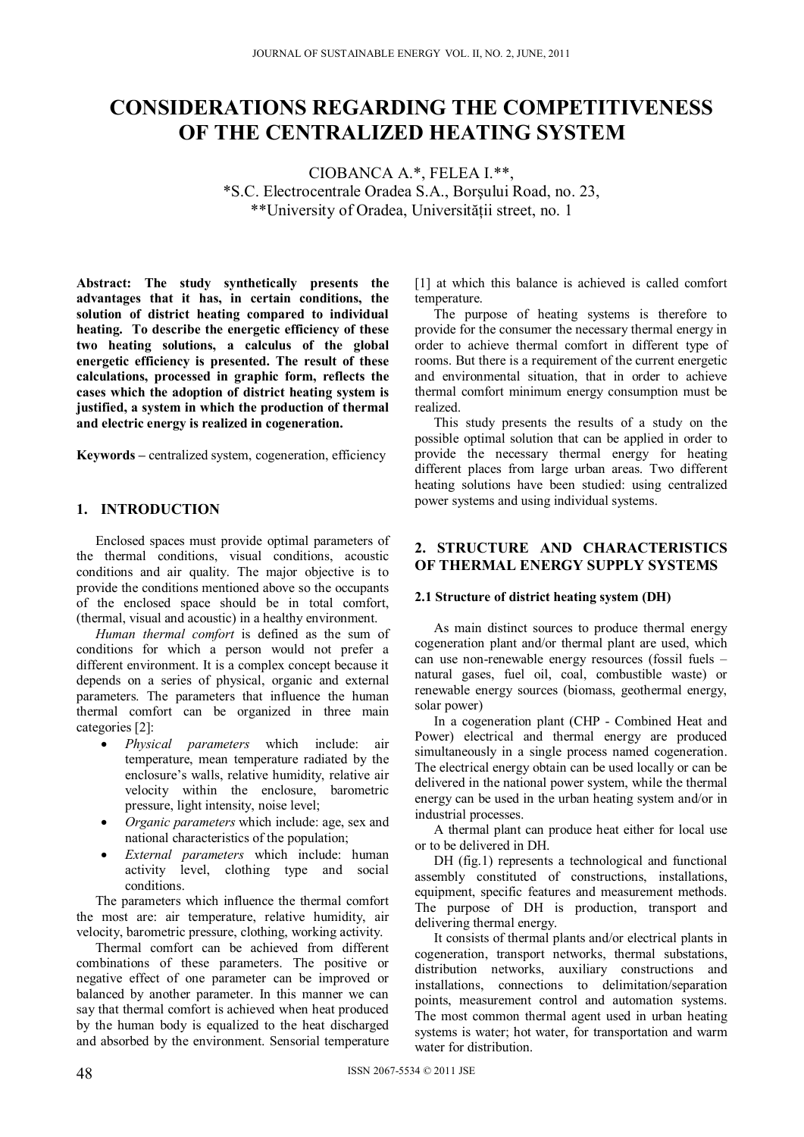# **CONSIDERATIONS REGARDING THE COMPETITIVENESS OF THE CENTRALIZED HEATING SYSTEM**

CIOBANCA A.\*, FELEA I.\*\*, \*S.C. Electrocentrale Oradea S.A., Borşului Road, no. 23, \*\*University of Oradea, Universităţii street, no. 1

**Abstract: The study synthetically presents the advantages that it has, in certain conditions, the solution of district heating compared to individual heating. To describe the energetic efficiency of these two heating solutions, a calculus of the global energetic efficiency is presented. The result of these calculations, processed in graphic form, reflects the cases which the adoption of district heating system is justified, a system in which the production of thermal and electric energy is realized in cogeneration.** 

**Keywords –** centralized system, cogeneration, efficiency

# **1. INTRODUCTION**

Enclosed spaces must provide optimal parameters of the thermal conditions, visual conditions, acoustic conditions and air quality. The major objective is to provide the conditions mentioned above so the occupants of the enclosed space should be in total comfort, (thermal, visual and acoustic) in a healthy environment.

*Human thermal comfort* is defined as the sum of conditions for which a person would not prefer a different environment. It is a complex concept because it depends on a series of physical, organic and external parameters. The parameters that influence the human thermal comfort can be organized in three main categories [2]:

- *Physical parameters* which include: air temperature, mean temperature radiated by the enclosure's walls, relative humidity, relative air velocity within the enclosure, barometric pressure, light intensity, noise level;
- *Organic parameters* which include: age, sex and national characteristics of the population;
- *External parameters* which include: human activity level, clothing type and social conditions.

The parameters which influence the thermal comfort the most are: air temperature, relative humidity, air velocity, barometric pressure, clothing, working activity.

Thermal comfort can be achieved from different combinations of these parameters. The positive or negative effect of one parameter can be improved or balanced by another parameter. In this manner we can say that thermal comfort is achieved when heat produced by the human body is equalized to the heat discharged and absorbed by the environment. Sensorial temperature [1] at which this balance is achieved is called comfort temperature.

The purpose of heating systems is therefore to provide for the consumer the necessary thermal energy in order to achieve thermal comfort in different type of rooms. But there is a requirement of the current energetic and environmental situation, that in order to achieve thermal comfort minimum energy consumption must be realized.

This study presents the results of a study on the possible optimal solution that can be applied in order to provide the necessary thermal energy for heating different places from large urban areas. Two different heating solutions have been studied: using centralized power systems and using individual systems.

# **2. STRUCTURE AND CHARACTERISTICS OF THERMAL ENERGY SUPPLY SYSTEMS**

## **2.1 Structure of district heating system (DH)**

As main distinct sources to produce thermal energy cogeneration plant and/or thermal plant are used, which can use non-renewable energy resources (fossil fuels – natural gases, fuel oil, coal, combustible waste) or renewable energy sources (biomass, geothermal energy, solar power)

In a cogeneration plant (CHP - Combined Heat and Power) electrical and thermal energy are produced simultaneously in a single process named cogeneration. The electrical energy obtain can be used locally or can be delivered in the national power system, while the thermal energy can be used in the urban heating system and/or in industrial processes.

A thermal plant can produce heat either for local use or to be delivered in DH.

DH (fig.1) represents a technological and functional assembly constituted of constructions, installations, equipment, specific features and measurement methods. The purpose of DH is production, transport and delivering thermal energy.

It consists of thermal plants and/or electrical plants in cogeneration, transport networks, thermal substations, distribution networks, auxiliary constructions and installations, connections to delimitation/separation points, measurement control and automation systems. The most common thermal agent used in urban heating systems is water; hot water, for transportation and warm water for distribution.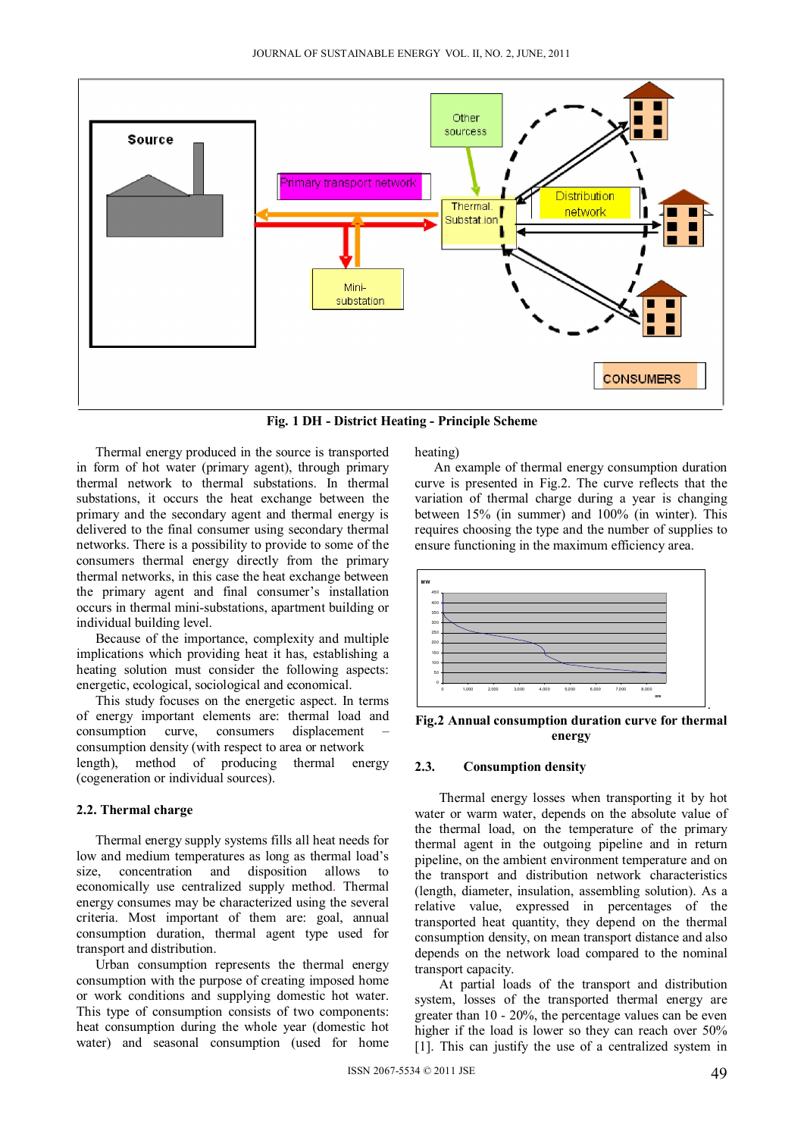

**Fig. 1 DH - District Heating - Principle Scheme** 

Thermal energy produced in the source is transported in form of hot water (primary agent), through primary thermal network to thermal substations. In thermal substations, it occurs the heat exchange between the primary and the secondary agent and thermal energy is delivered to the final consumer using secondary thermal networks. There is a possibility to provide to some of the consumers thermal energy directly from the primary thermal networks, in this case the heat exchange between the primary agent and final consumer's installation occurs in thermal mini-substations, apartment building or individual building level.

Because of the importance, complexity and multiple implications which providing heat it has, establishing a heating solution must consider the following aspects: energetic, ecological, sociological and economical.

This study focuses on the energetic aspect. In terms of energy important elements are: thermal load and consumption curve, consumers displacement consumption density (with respect to area or network length), method of producing thermal energy (cogeneration or individual sources).

#### **2.2. Thermal charge**

Thermal energy supply systems fills all heat needs for low and medium temperatures as long as thermal load's size, concentration and disposition allows to economically use centralized supply method. Thermal energy consumes may be characterized using the several criteria. Most important of them are: goal, annual consumption duration, thermal agent type used for transport and distribution.

Urban consumption represents the thermal energy consumption with the purpose of creating imposed home or work conditions and supplying domestic hot water. This type of consumption consists of two components: heat consumption during the whole year (domestic hot water) and seasonal consumption (used for home heating)

An example of thermal energy consumption duration curve is presented in Fig.2. The curve reflects that the variation of thermal charge during a year is changing between 15% (in summer) and 100% (in winter). This requires choosing the type and the number of supplies to ensure functioning in the maximum efficiency area.



**Fig.2 Annual consumption duration curve for thermal energy** 

#### **2.3. Consumption density**

Thermal energy losses when transporting it by hot water or warm water, depends on the absolute value of the thermal load, on the temperature of the primary thermal agent in the outgoing pipeline and in return pipeline, on the ambient environment temperature and on the transport and distribution network characteristics (length, diameter, insulation, assembling solution). As a relative value, expressed in percentages of the transported heat quantity, they depend on the thermal consumption density, on mean transport distance and also depends on the network load compared to the nominal transport capacity.

At partial loads of the transport and distribution system, losses of the transported thermal energy are greater than 10 - 20%, the percentage values can be even higher if the load is lower so they can reach over 50% [1]. This can justify the use of a centralized system in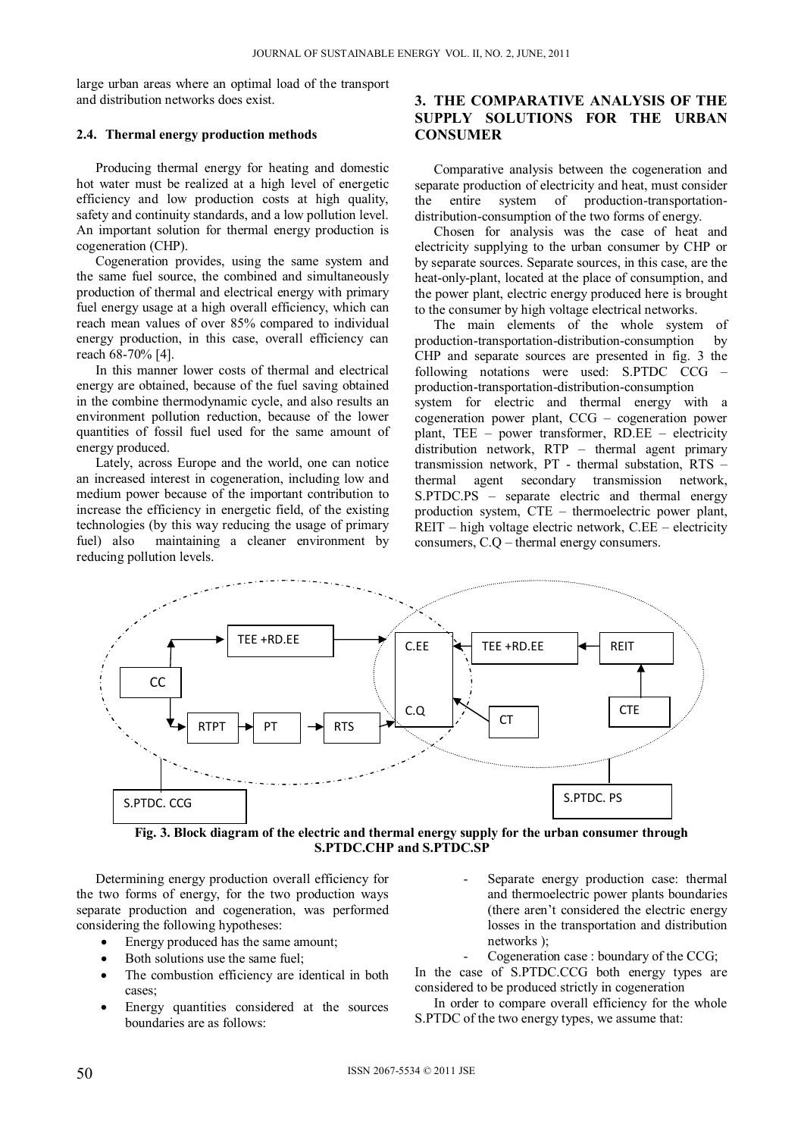large urban areas where an optimal load of the transport and distribution networks does exist.

### **2.4. Thermal energy production methods**

Producing thermal energy for heating and domestic hot water must be realized at a high level of energetic efficiency and low production costs at high quality, safety and continuity standards, and a low pollution level. An important solution for thermal energy production is cogeneration (CHP).

Cogeneration provides, using the same system and the same fuel source, the combined and simultaneously production of thermal and electrical energy with primary fuel energy usage at a high overall efficiency, which can reach mean values of over 85% compared to individual energy production, in this case, overall efficiency can reach 68-70% [4].

In this manner lower costs of thermal and electrical energy are obtained, because of the fuel saving obtained in the combine thermodynamic cycle, and also results an environment pollution reduction, because of the lower quantities of fossil fuel used for the same amount of energy produced.

Lately, across Europe and the world, one can notice an increased interest in cogeneration, including low and medium power because of the important contribution to increase the efficiency in energetic field, of the existing technologies (by this way reducing the usage of primary fuel) also maintaining a cleaner environment by reducing pollution levels.

# **3. THE COMPARATIVE ANALYSIS OF THE SUPPLY SOLUTIONS FOR THE URBAN CONSUMER**

Comparative analysis between the cogeneration and separate production of electricity and heat, must consider the entire system of production-transportationdistribution-consumption of the two forms of energy.

Chosen for analysis was the case of heat and electricity supplying to the urban consumer by CHP or by separate sources. Separate sources, in this case, are the heat-only-plant, located at the place of consumption, and the power plant, electric energy produced here is brought to the consumer by high voltage electrical networks.

The main elements of the whole system of production-transportation-distribution-consumption by CHP and separate sources are presented in fig. 3 the following notations were used: S.PTDC CCG – production-transportation-distribution-consumption system for electric and thermal energy with a cogeneration power plant, CCG – cogeneration power plant, TEE – power transformer, RD.EE – electricity distribution network, RTP – thermal agent primary transmission network, PT - thermal substation, RTS – thermal agent secondary transmission network, S.PTDC.PS – separate electric and thermal energy production system, CTE – thermoelectric power plant, REIT – high voltage electric network, C.EE – electricity consumers, C.Q – thermal energy consumers.



**Fig. 3. Block diagram of the electric and thermal energy supply for the urban consumer through S.PTDC.CHP and S.PTDC.SP** 

Determining energy production overall efficiency for the two forms of energy, for the two production ways separate production and cogeneration, was performed considering the following hypotheses:

- Energy produced has the same amount;
- Both solutions use the same fuel;
- The combustion efficiency are identical in both cases;
- Energy quantities considered at the sources boundaries are as follows:
- Separate energy production case: thermal and thermoelectric power plants boundaries (there aren't considered the electric energy losses in the transportation and distribution networks );
- Cogeneration case : boundary of the CCG;

In the case of S.PTDC.CCG both energy types are considered to be produced strictly in cogeneration

In order to compare overall efficiency for the whole S.PTDC of the two energy types, we assume that: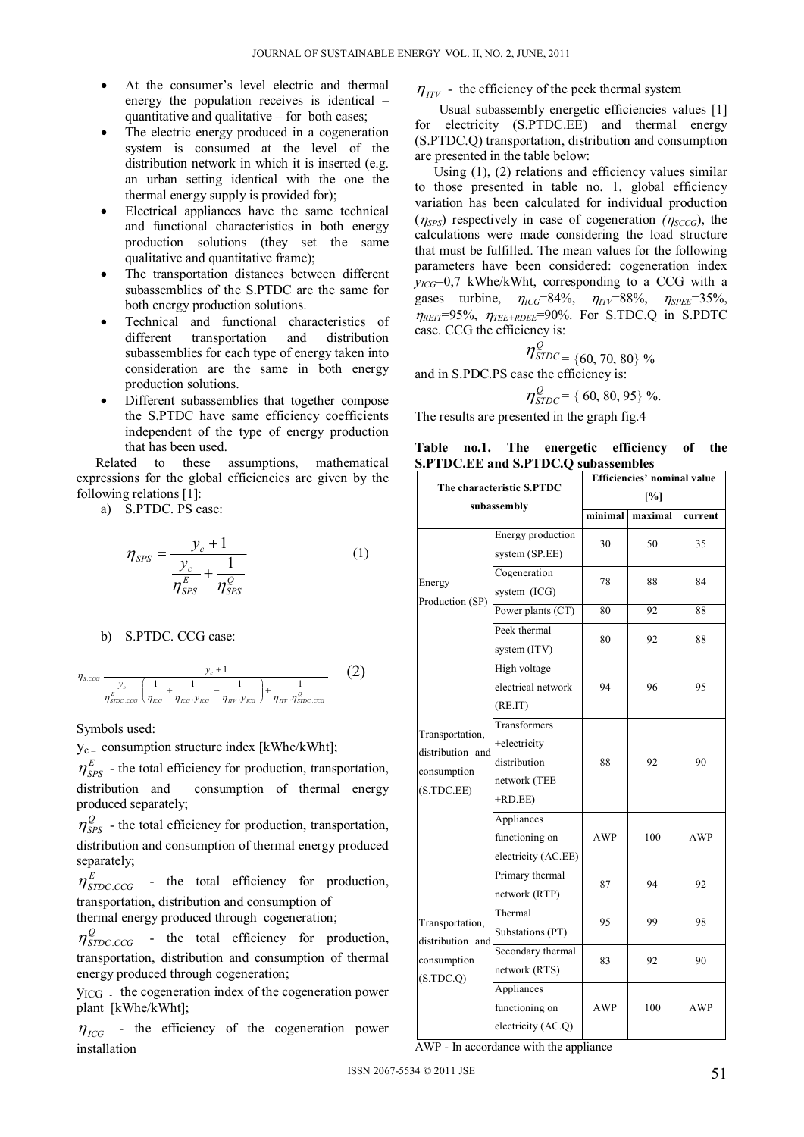- At the consumer's level electric and thermal energy the population receives is identical – quantitative and qualitative – for both cases;
- The electric energy produced in a cogeneration system is consumed at the level of the distribution network in which it is inserted (e.g. an urban setting identical with the one the thermal energy supply is provided for);
- Electrical appliances have the same technical and functional characteristics in both energy production solutions (they set the same qualitative and quantitative frame);
- The transportation distances between different subassemblies of the S.PTDC are the same for both energy production solutions.
- Technical and functional characteristics of different transportation and distribution subassemblies for each type of energy taken into consideration are the same in both energy production solutions.
- Different subassemblies that together compose the S.PTDC have same efficiency coefficients independent of the type of energy production that has been used.

Related to these assumptions, mathematical expressions for the global efficiencies are given by the following relations [1]:

a) S.PTDC. PS case:

$$
\eta_{SPS} = \frac{y_c + 1}{\frac{y_c}{\eta_{SPS}^E} + \frac{1}{\eta_{SPS}^Q}}
$$
(1)

### b) S.PTDC. CCG case:

$$
\eta_{s.ccc} \frac{y_c + 1}{\frac{y_c}{n_{\text{STDC.ccc}}} \left( \frac{1}{\eta_{\text{ice}}} + \frac{1}{\eta_{\text{ice}} \cdot y_{\text{cc}}} - \frac{1}{\eta_{\text{mv}} \cdot y_{\text{cc}}} \right) + \frac{1}{\eta_{\text{mv}} \cdot n_{\text{STDC.ccc}}^o} \tag{2}
$$

Symbols used:

yc – consumption structure index [kWhe/kWht];

 $\eta_{SPS}^E$  - the total efficiency for production, transportation, distribution and consumption of thermal energy produced separately;

 $\eta_{\rm sys}^Q$  - the total efficiency for production, transportation, distribution and consumption of thermal energy produced separately;

 $\eta_{\text{STDC\_CCG}}^E$  - the total efficiency for production, transportation, distribution and consumption of thermal energy produced through cogeneration;

 $\eta_{STDC,CG}^Q$  - the total efficiency for production, transportation, distribution and consumption of thermal energy produced through cogeneration;

yICG - the cogeneration index of the cogeneration power plant [kWhe/kWht];

 $\eta_{ICG}$  - the efficiency of the cogeneration power installation

 $\eta_{ITV}$  - the efficiency of the peek thermal system

Usual subassembly energetic efficiencies values [1] for electricity (S.PTDC.EE) and thermal energy (S.PTDC.Q) transportation, distribution and consumption are presented in the table below:

Using  $(1)$ ,  $(2)$  relations and efficiency values similar to those presented in table no. 1, global efficiency variation has been calculated for individual production  $(\eta_{SPS})$  respectively in case of cogeneration  $(\eta_{SCCG})$ , the calculations were made considering the load structure that must be fulfilled. The mean values for the following parameters have been considered: cogeneration index  $y_{ICG}$ =0,7 kWhe/kWht, corresponding to a CCG with a gases turbine,  $\eta_{ICG}$ =84%,  $\eta_{ITV}$ =88%,  $\eta_{SPEE}$ =35%,  $\eta_{REIT}$ =95%,  $\eta_{TEE+RDEE}$ =90%. For S.TDC.Q in S.PDTC case. CCG the efficiency is:

$$
\eta_{STDC}^Q = \{60, 70, 80\} \%
$$

and in S.PDC.PS case the efficiency is:

$$
\eta_{STDC}^Q = \{60, 80, 95\} \%
$$

The results are presented in the graph fig.4

|  |                                     | Table no.1. The energetic efficiency of the |  |
|--|-------------------------------------|---------------------------------------------|--|
|  | S.PTDC.EE and S.PTDC.Q subassembles |                                             |  |

|                                                                  | S.PTDU.EE and S.PTDU.Q subassembles<br><b>Efficiencies' nominal value</b> |            |         |            |  |  |
|------------------------------------------------------------------|---------------------------------------------------------------------------|------------|---------|------------|--|--|
| The characteristic S.PTDC<br>subassembly                         |                                                                           | [%]        |         |            |  |  |
|                                                                  |                                                                           | minimal    | maximal | current    |  |  |
|                                                                  | Energy production<br>system (SP.EE)                                       | 30         | 50      | 35         |  |  |
| Energy                                                           | Cogeneration<br>system (ICG)                                              | 78         | 88      | 84         |  |  |
| Production (SP)                                                  | Power plants (CT)                                                         | 80         | 92      | 88         |  |  |
|                                                                  | Peek thermal<br>system (ITV)                                              | 80         | 92      | 88         |  |  |
|                                                                  | High voltage<br>electrical network<br>(RE.IT)                             | 94         | 96      | 95         |  |  |
| Transportation,<br>distribution and<br>consumption<br>(S.TDC.EE) | Transformers<br>+electricity<br>distribution<br>network (TEE<br>$+RD.EE)$ | 88         | 92      | 90         |  |  |
|                                                                  | Appliances<br>functioning on<br>electricity (AC.EE)                       | AWP        | 100     | <b>AWP</b> |  |  |
|                                                                  | Primary thermal<br>network (RTP)                                          | 87         | 94      | 92         |  |  |
| Transportation,<br>distribution and                              | Thermal<br>Substations (PT)                                               | 95         | 99      | 98         |  |  |
| consumption<br>(S.TDC.Q)                                         | Secondary thermal<br>network (RTS)                                        | 83         | 92      | 90         |  |  |
|                                                                  | Appliances<br>functioning on<br>electricity (AC.Q)                        | <b>AWP</b> | 100     | <b>AWP</b> |  |  |

AWP - In accordance with the appliance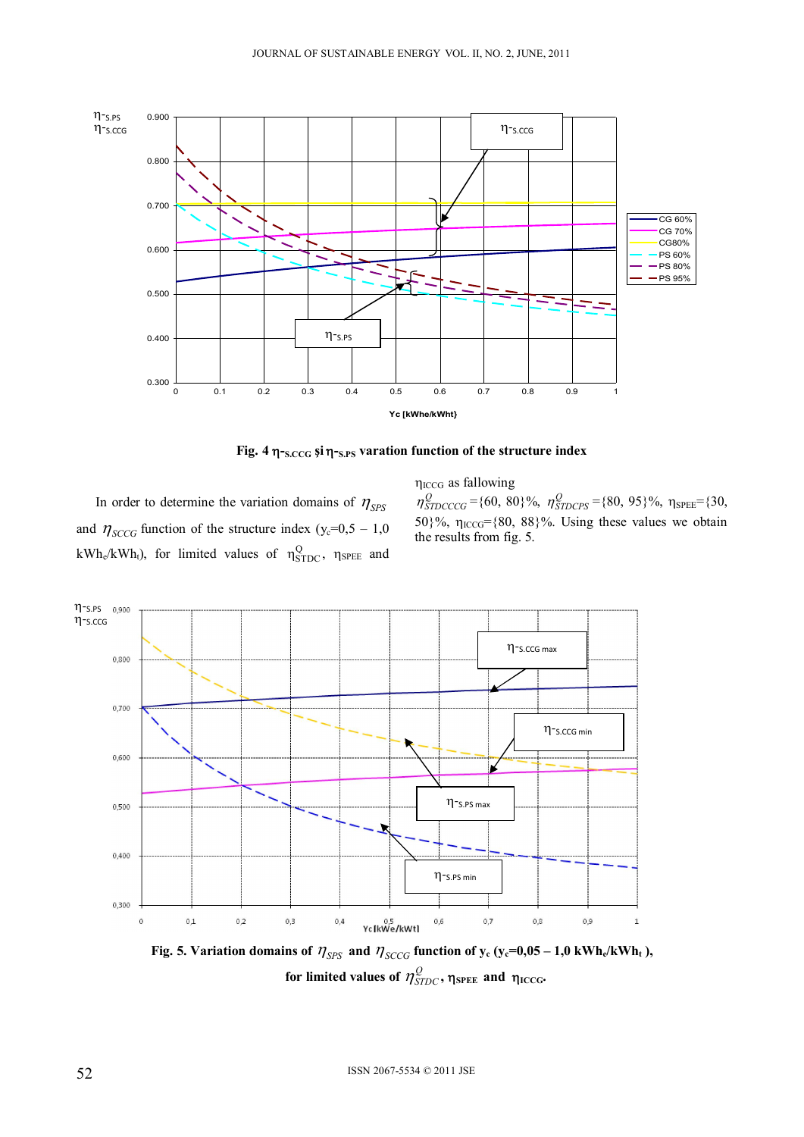

**Fig. 4 -S.CCG şi-S.PS varation function of the structure index** 

In order to determine the variation domains of  $\eta_{SPS}$ and  $\eta_{SCCG}$  function of the structure index ( $y_c=0.5 - 1.0$ ) kWh<sub>e</sub>/kWh<sub>t</sub>), for limited values of  $\eta_{STDC}^Q$ ,  $\eta_{SPEE}$  and  $\eta_{\text{ICCG}}$  as fallowing  $\eta_{STDCCCG}^{Q}$  ={60, 80}%,  $\eta_{STDCTS}^{Q}$  ={80, 95}%,  $\eta_{SPEE}$ ={30, 50}%,  $\eta_{\text{ICCG}}$ ={80, 88}%. Using these values we obtain the results from fig. 5.



 **for limited values of**  $\eta_{STDC}^Q$ **,**  $\eta_{SPEE}$  **and**  $\eta_{ICCG}$ **.**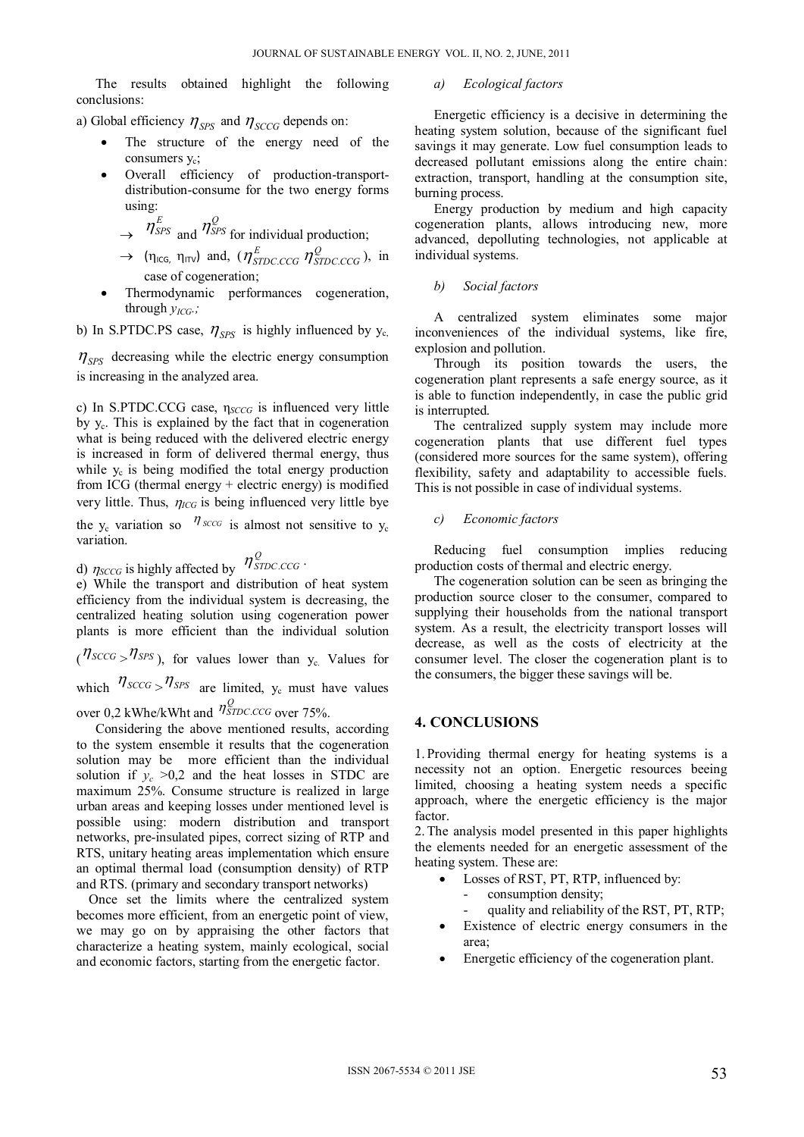The results obtained highlight the following conclusions:

a) Global efficiency  $\eta_{SPS}$  and  $\eta_{SCCG}$  depends on:

- The structure of the energy need of the consumers y<sub>c</sub>:
- Overall efficiency of production-transportdistribution-consume for the two energy forms using:

$$
\rightarrow \eta_{\rm SPS}^E
$$
 and 
$$
\eta_{\rm SPS}^Q
$$
 for individual production;

- $\rightarrow$  ( $\eta_{\text{ICG}}$ ,  $\eta_{\text{ITV}}$ ) and, ( $\eta_{\text{STDC,CCG}}^E$   $\eta_{\text{STDC,CCG}}^Q$ ), in case of cogeneration;
- Thermodynamic performances cogeneration, through  $y_{ICG}$ ;

b) In S.PTDC.PS case,  $\eta_{SPS}$  is highly influenced by  $y_c$ ,

 $\eta_{SPS}$  decreasing while the electric energy consumption is increasing in the analyzed area.

c) In S.PTDC.CCG case,  $η<sub>SCCG</sub>$  is influenced very little by  $y_c$ . This is explained by the fact that in cogeneration what is being reduced with the delivered electric energy is increased in form of delivered thermal energy, thus while  $y_c$  is being modified the total energy production from ICG (thermal energy + electric energy) is modified very little. Thus,  $\eta_{ICG}$  is being influenced very little bye

the y<sub>c</sub> variation so  $\eta_{SCG}$  is almost not sensitive to y<sub>c</sub> variation.

d)  $\eta_{\text{SCCG}}$  is highly affected by  $\eta_{\text{STDC\_CCG}}^Q$ .

e) While the transport and distribution of heat system efficiency from the individual system is decreasing, the centralized heating solution using cogeneration power plants is more efficient than the individual solution

 $($  $\eta_{SCGG}$  $>$  $\eta_{SPS}$ <sub>)</sub>, for values lower than y<sub>c</sub>. Values for

which  $\eta_{SCCG}$   $\gamma_{SPS}$  are limited,  $y_c$  must have values

over 0,2 kWhe/kWht and  $\eta_{STDCCGG}^Q$  over 75%.

Considering the above mentioned results, according to the system ensemble it results that the cogeneration solution may be more efficient than the individual solution if  $y_c > 0.2$  and the heat losses in STDC are maximum 25%. Consume structure is realized in large urban areas and keeping losses under mentioned level is possible using: modern distribution and transport networks, pre-insulated pipes, correct sizing of RTP and RTS, unitary heating areas implementation which ensure an optimal thermal load (consumption density) of RTP and RTS. (primary and secondary transport networks)

Once set the limits where the centralized system becomes more efficient, from an energetic point of view, we may go on by appraising the other factors that characterize a heating system, mainly ecological, social and economic factors, starting from the energetic factor.

#### *a) Ecological factors*

Energetic efficiency is a decisive in determining the heating system solution, because of the significant fuel savings it may generate. Low fuel consumption leads to decreased pollutant emissions along the entire chain: extraction, transport, handling at the consumption site, burning process.

Energy production by medium and high capacity cogeneration plants, allows introducing new, more advanced, depolluting technologies, not applicable at individual systems.

## *b) Social factors*

A centralized system eliminates some major inconveniences of the individual systems, like fire, explosion and pollution.

Through its position towards the users, the cogeneration plant represents a safe energy source, as it is able to function independently, in case the public grid is interrupted.

The centralized supply system may include more cogeneration plants that use different fuel types (considered more sources for the same system), offering flexibility, safety and adaptability to accessible fuels. This is not possible in case of individual systems.

### *c) Economic factors*

Reducing fuel consumption implies reducing production costs of thermal and electric energy.

The cogeneration solution can be seen as bringing the production source closer to the consumer, compared to supplying their households from the national transport system. As a result, the electricity transport losses will decrease, as well as the costs of electricity at the consumer level. The closer the cogeneration plant is to the consumers, the bigger these savings will be.

## **4. CONCLUSIONS**

1. Providing thermal energy for heating systems is a necessity not an option. Energetic resources beeing limited, choosing a heating system needs a specific approach, where the energetic efficiency is the major factor.

2. The analysis model presented in this paper highlights the elements needed for an energetic assessment of the heating system. These are:

- Losses of RST, PT, RTP, influenced by:
	- consumption density;
	- quality and reliability of the RST, PT, RTP;
- Existence of electric energy consumers in the area;
- Energetic efficiency of the cogeneration plant.